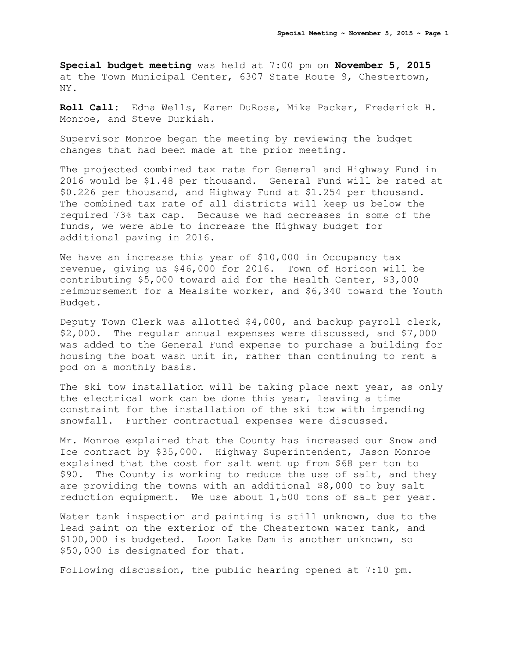**Special budget meeting** was held at 7:00 pm on **November 5, 2015** at the Town Municipal Center, 6307 State Route 9, Chestertown, NY.

**Roll Call:** Edna Wells, Karen DuRose, Mike Packer, Frederick H. Monroe, and Steve Durkish.

Supervisor Monroe began the meeting by reviewing the budget changes that had been made at the prior meeting.

The projected combined tax rate for General and Highway Fund in 2016 would be \$1.48 per thousand. General Fund will be rated at \$0.226 per thousand, and Highway Fund at \$1.254 per thousand. The combined tax rate of all districts will keep us below the required 73% tax cap. Because we had decreases in some of the funds, we were able to increase the Highway budget for additional paving in 2016.

We have an increase this year of \$10,000 in Occupancy tax revenue, giving us \$46,000 for 2016. Town of Horicon will be contributing \$5,000 toward aid for the Health Center, \$3,000 reimbursement for a Mealsite worker, and \$6,340 toward the Youth Budget.

Deputy Town Clerk was allotted \$4,000, and backup payroll clerk, \$2,000. The regular annual expenses were discussed, and \$7,000 was added to the General Fund expense to purchase a building for housing the boat wash unit in, rather than continuing to rent a pod on a monthly basis.

The ski tow installation will be taking place next year, as only the electrical work can be done this year, leaving a time constraint for the installation of the ski tow with impending snowfall. Further contractual expenses were discussed.

Mr. Monroe explained that the County has increased our Snow and Ice contract by \$35,000. Highway Superintendent, Jason Monroe explained that the cost for salt went up from \$68 per ton to \$90. The County is working to reduce the use of salt, and they are providing the towns with an additional \$8,000 to buy salt reduction equipment. We use about 1,500 tons of salt per year.

Water tank inspection and painting is still unknown, due to the lead paint on the exterior of the Chestertown water tank, and \$100,000 is budgeted. Loon Lake Dam is another unknown, so \$50,000 is designated for that.

Following discussion, the public hearing opened at 7:10 pm.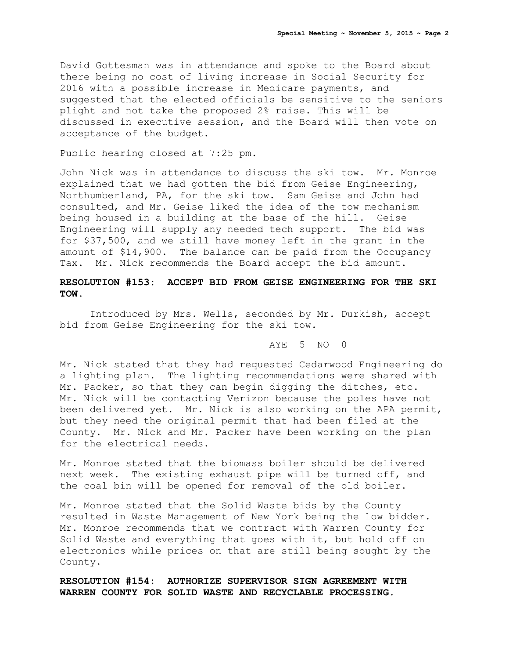David Gottesman was in attendance and spoke to the Board about there being no cost of living increase in Social Security for 2016 with a possible increase in Medicare payments, and suggested that the elected officials be sensitive to the seniors plight and not take the proposed 2% raise. This will be discussed in executive session, and the Board will then vote on acceptance of the budget.

Public hearing closed at 7:25 pm.

John Nick was in attendance to discuss the ski tow. Mr. Monroe explained that we had gotten the bid from Geise Engineering, Northumberland, PA, for the ski tow. Sam Geise and John had consulted, and Mr. Geise liked the idea of the tow mechanism being housed in a building at the base of the hill. Geise Engineering will supply any needed tech support. The bid was for \$37,500, and we still have money left in the grant in the amount of \$14,900. The balance can be paid from the Occupancy Tax. Mr. Nick recommends the Board accept the bid amount.

## **RESOLUTION #153: ACCEPT BID FROM GEISE ENGINEERING FOR THE SKI TOW.**

Introduced by Mrs. Wells, seconded by Mr. Durkish, accept bid from Geise Engineering for the ski tow.

## AYE 5 NO 0

Mr. Nick stated that they had requested Cedarwood Engineering do a lighting plan. The lighting recommendations were shared with Mr. Packer, so that they can begin digging the ditches, etc. Mr. Nick will be contacting Verizon because the poles have not been delivered yet. Mr. Nick is also working on the APA permit, but they need the original permit that had been filed at the County. Mr. Nick and Mr. Packer have been working on the plan for the electrical needs.

Mr. Monroe stated that the biomass boiler should be delivered next week. The existing exhaust pipe will be turned off, and the coal bin will be opened for removal of the old boiler.

Mr. Monroe stated that the Solid Waste bids by the County resulted in Waste Management of New York being the low bidder. Mr. Monroe recommends that we contract with Warren County for Solid Waste and everything that goes with it, but hold off on electronics while prices on that are still being sought by the County.

**RESOLUTION #154: AUTHORIZE SUPERVISOR SIGN AGREEMENT WITH WARREN COUNTY FOR SOLID WASTE AND RECYCLABLE PROCESSING.**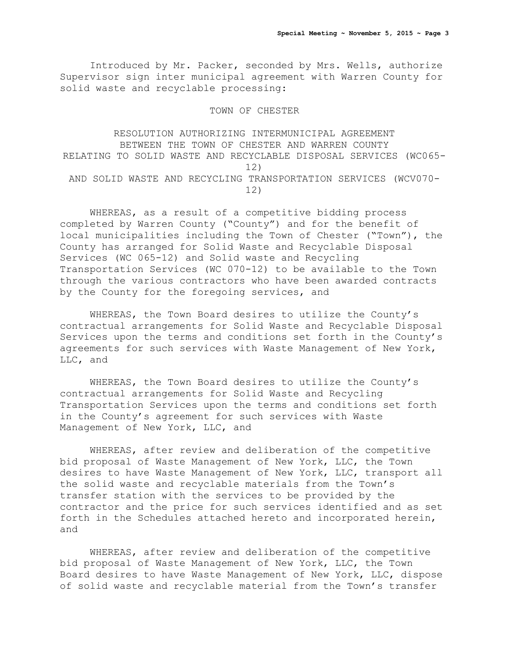Introduced by Mr. Packer, seconded by Mrs. Wells, authorize Supervisor sign inter municipal agreement with Warren County for solid waste and recyclable processing:

TOWN OF CHESTER

RESOLUTION AUTHORIZING INTERMUNICIPAL AGREEMENT BETWEEN THE TOWN OF CHESTER AND WARREN COUNTY RELATING TO SOLID WASTE AND RECYCLABLE DISPOSAL SERVICES (WC065- 12) AND SOLID WASTE AND RECYCLING TRANSPORTATION SERVICES (WCV070- 12)

WHEREAS, as a result of a competitive bidding process completed by Warren County ("County") and for the benefit of local municipalities including the Town of Chester ("Town"), the County has arranged for Solid Waste and Recyclable Disposal Services (WC 065-12) and Solid waste and Recycling Transportation Services (WC 070-12) to be available to the Town through the various contractors who have been awarded contracts by the County for the foregoing services, and

WHEREAS, the Town Board desires to utilize the County's contractual arrangements for Solid Waste and Recyclable Disposal Services upon the terms and conditions set forth in the County's agreements for such services with Waste Management of New York, LLC, and

WHEREAS, the Town Board desires to utilize the County's contractual arrangements for Solid Waste and Recycling Transportation Services upon the terms and conditions set forth in the County's agreement for such services with Waste Management of New York, LLC, and

WHEREAS, after review and deliberation of the competitive bid proposal of Waste Management of New York, LLC, the Town desires to have Waste Management of New York, LLC, transport all the solid waste and recyclable materials from the Town's transfer station with the services to be provided by the contractor and the price for such services identified and as set forth in the Schedules attached hereto and incorporated herein, and

WHEREAS, after review and deliberation of the competitive bid proposal of Waste Management of New York, LLC, the Town Board desires to have Waste Management of New York, LLC, dispose of solid waste and recyclable material from the Town's transfer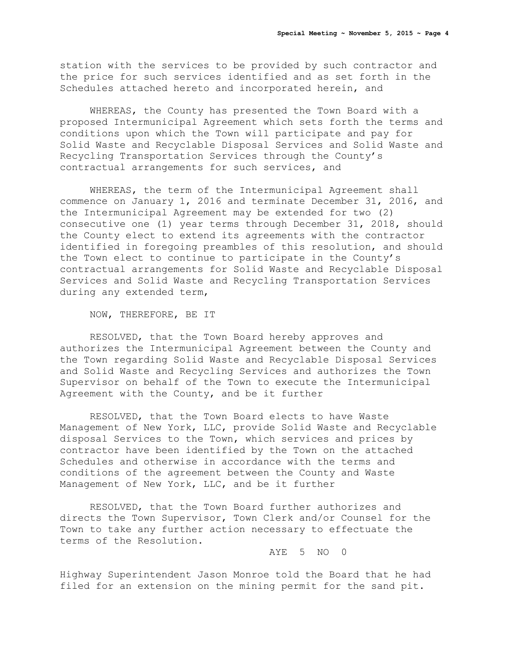station with the services to be provided by such contractor and the price for such services identified and as set forth in the Schedules attached hereto and incorporated herein, and

WHEREAS, the County has presented the Town Board with a proposed Intermunicipal Agreement which sets forth the terms and conditions upon which the Town will participate and pay for Solid Waste and Recyclable Disposal Services and Solid Waste and Recycling Transportation Services through the County's contractual arrangements for such services, and

WHEREAS, the term of the Intermunicipal Agreement shall commence on January 1, 2016 and terminate December 31, 2016, and the Intermunicipal Agreement may be extended for two (2) consecutive one (1) year terms through December 31, 2018, should the County elect to extend its agreements with the contractor identified in foregoing preambles of this resolution, and should the Town elect to continue to participate in the County's contractual arrangements for Solid Waste and Recyclable Disposal Services and Solid Waste and Recycling Transportation Services during any extended term,

NOW, THEREFORE, BE IT

RESOLVED, that the Town Board hereby approves and authorizes the Intermunicipal Agreement between the County and the Town regarding Solid Waste and Recyclable Disposal Services and Solid Waste and Recycling Services and authorizes the Town Supervisor on behalf of the Town to execute the Intermunicipal Agreement with the County, and be it further

RESOLVED, that the Town Board elects to have Waste Management of New York, LLC, provide Solid Waste and Recyclable disposal Services to the Town, which services and prices by contractor have been identified by the Town on the attached Schedules and otherwise in accordance with the terms and conditions of the agreement between the County and Waste Management of New York, LLC, and be it further

RESOLVED, that the Town Board further authorizes and directs the Town Supervisor, Town Clerk and/or Counsel for the Town to take any further action necessary to effectuate the terms of the Resolution.

AYE 5 NO 0

Highway Superintendent Jason Monroe told the Board that he had filed for an extension on the mining permit for the sand pit.